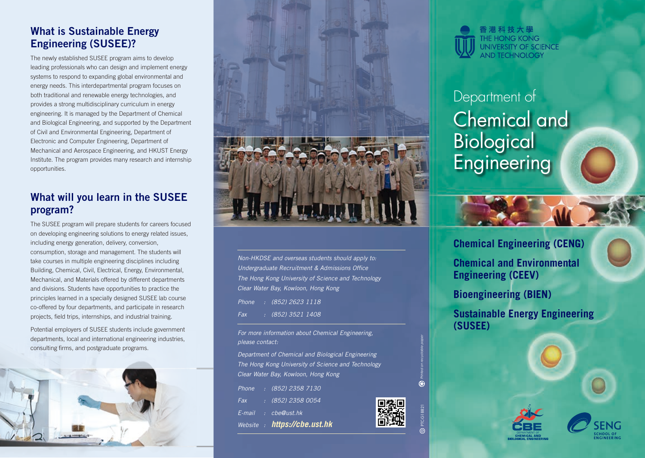#### What is Sustainable Energy Engineering (SUSEE)?

The newly established SUSEE program aims to develop leading professionals who can design and implement energy systems to respond to expanding global environmental and energy needs. This interdepartmental program focuses on both traditional and renewable energy technologies, and provides a strong multidisciplinary curriculum in energy engineering. It is managed by the Department of Chemical and Biological Engineering, and supported by the Department of Civil and Environmental Engineering, Department of Electronic and Computer Engineering, Department of Mechanical and Aerospace Engineering, and HKUST Energy Institute. The program provides many research and internship opportunities.

## What will you learn in the SUSEE program?

The SUSEE program will prepare students for careers focused on developing engineering solutions to energy related issues, including energy generation, delivery, conversion, consumption, storage and management. The students will take courses in multiple engineering disciplines including Building, Chemical, Civil, Electrical, Energy, Environmental, Mechanical, and Materials offered by different departments and divisions. Students have opportunities to practice the principles learned in a specially designed SUSEE lab course co-offered by four departments, and participate in research projects, field trips, internships, and industrial training.

Potential employers of SUSEE students include government departments, local and international engineering industries, consulting firms, and postgraduate programs.





*Non-HKDSE and overseas students should apply to: Undergraduate Recruitment & Admissions Office The Hong Kong University of Science and Technology Clear Water Bay, Kowloon, Hong Kong*

*Phone : (852) 2623 1118 Fax : (852) 3521 1408*

*For more information about Chemical Engineering, please contact:*

*Department of Chemical and Biological Engineering The Hong Kong University of Science and Technology Clear Water Bay, Kowloon, Hong Kong*

*Phone : (852) 2358 7130 Fax : (852) 2358 0054 E-mail : cbe@ust.hk Website : https://cbe.ust.hk*



PTC-G18821 *Printed on recyclable paper*



# Chemical and **Biological Engineering** Department of

**Chemical Engineering (CENG)**

**Chemical and Environmental Engineering (CEEV)**

**Bioengineering (BIEN)**

**Sustainable Energy Engineering (SUSEE)**